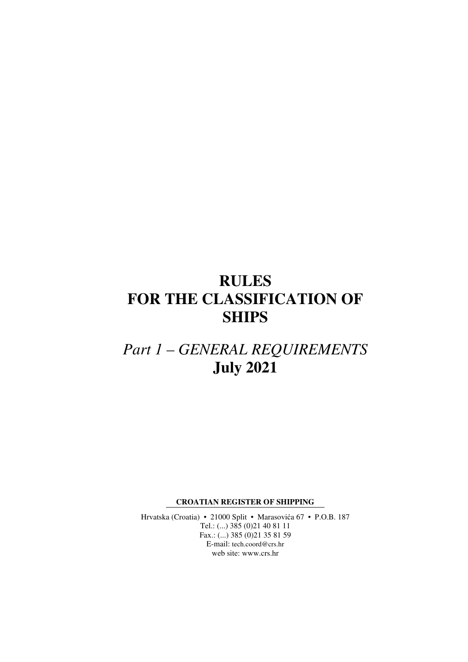# **RULES FOR THE CLASSIFICATION OF SHIPS**

# *Part 1 – GENERAL REQUIREMENTS*  **July 2021**

**CROATIAN REGISTER OF SHIPPING** 

Hrvatska (Croatia) • 21000 Split • Marasovića 67 • P.O.B. 187 Tel.: (...) 385 (0)21 40 81 11 Fax.: (...) 385 (0)21 35 81 59 E-mail: tech.coord@crs.hr web site: www.crs.hr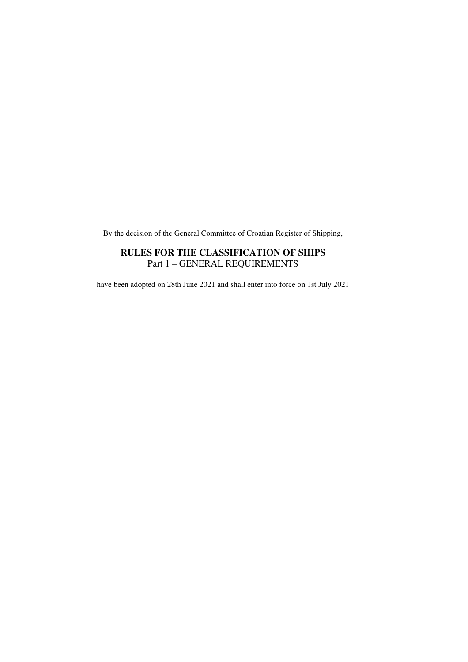By the decision of the General Committee of Croatian Register of Shipping,

## **RULES FOR THE CLASSIFICATION OF SHIPS**  Part 1 – GENERAL REQUIREMENTS

have been adopted on 28th June 2021 and shall enter into force on 1st July 2021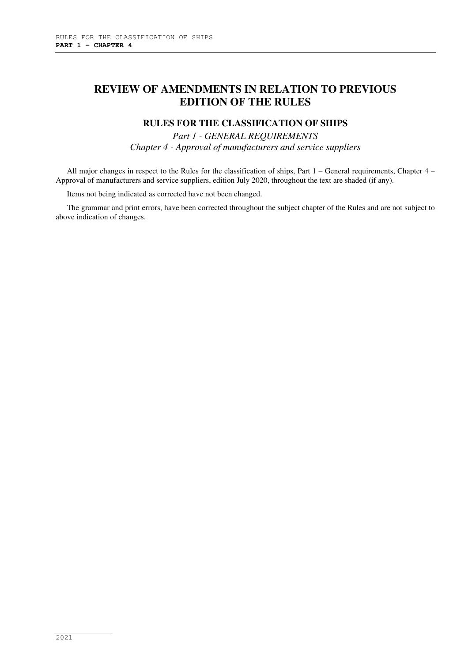# **REVIEW OF AMENDMENTS IN RELATION TO PREVIOUS EDITION OF THE RULES**

### **RULES FOR THE CLASSIFICATION OF SHIPS**

*Part 1 - GENERAL REQUIREMENTS Chapter 4 - Approval of manufacturers and service suppliers* 

All major changes in respect to the Rules for the classification of ships, Part 1 – General requirements, Chapter 4 – Approval of manufacturers and service suppliers, edition July 2020, throughout the text are shaded (if any).

Items not being indicated as corrected have not been changed.

The grammar and print errors, have been corrected throughout the subject chapter of the Rules and are not subject to above indication of changes.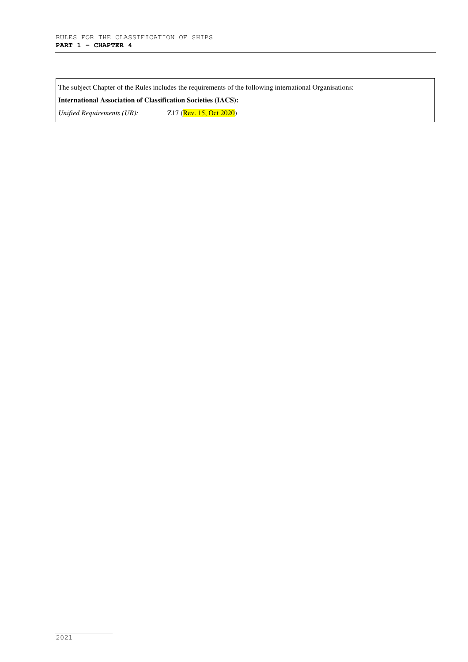The subject Chapter of the Rules includes the requirements of the following international Organisations:

**International Association of Classification Societies (IACS):** 

*Unified Requirements (UR):* Z17 (Rev. 15, Oct 2020)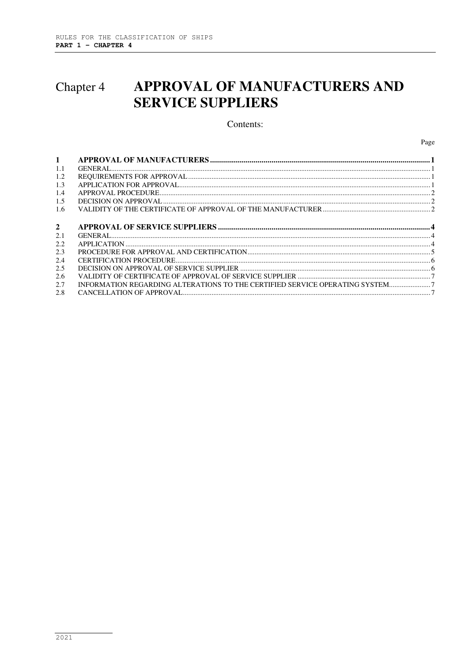## APPROVAL OF MANUFACTURERS AND Chapter 4 **SERVICE SUPPLIERS**

#### Contents:

Page

| $\mathbf{1}$   |                                                                              |  |
|----------------|------------------------------------------------------------------------------|--|
| 1.1            |                                                                              |  |
| 1.2            |                                                                              |  |
| 1.3            |                                                                              |  |
| 1.4            |                                                                              |  |
| 1.5            |                                                                              |  |
| 1.6            |                                                                              |  |
|                |                                                                              |  |
| $\overline{2}$ |                                                                              |  |
| 2.1            |                                                                              |  |
| 2.2            |                                                                              |  |
| 2.3            |                                                                              |  |
| 2.4            |                                                                              |  |
| 2.5            |                                                                              |  |
| 2.6            |                                                                              |  |
| 2.7            | INFORMATION REGARDING ALTERATIONS TO THE CERTIFIED SERVICE OPERATING SYSTEM7 |  |
| 2.8            |                                                                              |  |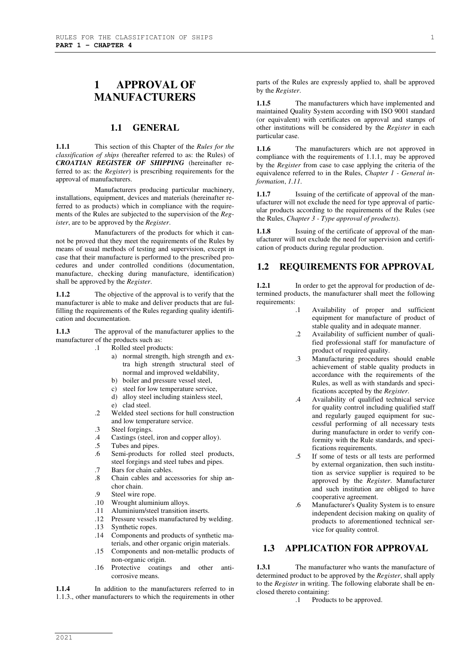# **1 APPROVAL OF MANUFACTURERS**

#### **1.1 GENERAL**

**1.1.1** This section of this Chapter of the *Rules for the classification of ships* (hereafter referred to as: the Rules) of *CROATIAN REGISTER OF SHIPPING* (hereinafter referred to as: the *Register*) is prescribing requirements for the approval of manufacturers.

Manufacturers producing particular machinery, installations, equipment, devices and materials (hereinafter referred to as products) which in compliance with the requirements of the Rules are subjected to the supervision of the *Register*, are to be approved by the *Register*.

Manufacturers of the products for which it cannot be proved that they meet the requirements of the Rules by means of usual methods of testing and supervision, except in case that their manufacture is performed to the prescribed procedures and under controlled conditions (documentation, manufacture, checking during manufacture, identification) shall be approved by the *Register*.

**1.1.2** The objective of the approval is to verify that the manufacturer is able to make and deliver products that are fulfilling the requirements of the Rules regarding quality identification and documentation.

**1.1.3** The approval of the manufacturer applies to the manufacturer of the products such as:

- .1 Rolled steel products:
	- a) normal strength, high strength and extra high strength structural steel of normal and improved weldability,
	- b) boiler and pressure vessel steel,
	- c) steel for low temperature service,
	- d) alloy steel including stainless steel, e) clad steel.
- .2 Welded steel sections for hull construction and low temperature service.
- .3 Steel forgings.<br>4 Castings (steel
- .4 Castings (steel, iron and copper alloy).<br>5 Tubes and pipes.
- Tubes and pipes.
- .6 Semi-products for rolled steel products, steel forgings and steel tubes and pipes.
- .7 Bars for chain cables.
- .8 Chain cables and accessories for ship anchor chain.
- .9 Steel wire rope.<br>.10 Wrought alumin
- Wrought aluminium alloys.
- .11 Aluminium/steel transition inserts.
- .12 Pressure vessels manufactured by welding.
- .13 Synthetic ropes.
- .14 Components and products of synthetic materials, and other organic origin materials.
- .15 Components and non-metallic products of non-organic origin.
- .16 Protective coatings and other anticorrosive means.

**1.1.4** In addition to the manufacturers referred to in 1.1.3., other manufacturers to which the requirements in other parts of the Rules are expressly applied to, shall be approved by the *Register*.

1.1.5 The manufacturers which have implemented and maintained Quality System according with ISO 9001 standard (or equivalent) with certificates on approval and stamps of other institutions will be considered by the *Register* in each particular case.

**1.1.6** The manufacturers which are not approved in compliance with the requirements of 1.1.1, may be approved by the *Register* from case to case applying the criteria of the equivalence referred to in the Rules, *Chapter 1 - General information*, *1.11*.

**1.1.7** Issuing of the certificate of approval of the manufacturer will not exclude the need for type approval of particular products according to the requirements of the Rules (see the Rules, *Chapter 3 - Type approval of products*).

**1.1.8** Issuing of the certificate of approval of the manufacturer will not exclude the need for supervision and certification of products during regular production.

#### **1.2 REQUIREMENTS FOR APPROVAL**

**1.2.1** In order to get the approval for production of determined products, the manufacturer shall meet the following requirements:

- .1 Availability of proper and sufficient equipment for manufacture of product of stable quality and in adequate manner.
- .2 Availability of sufficient number of qualified professional staff for manufacture of product of required quality.
- .3 Manufacturing procedures should enable achievement of stable quality products in accordance with the requirements of the Rules, as well as with standards and specifications accepted by the *Register*.
- .4 Availability of qualified technical service for quality control including qualified staff and regularly gauged equipment for successful performing of all necessary tests during manufacture in order to verify conformity with the Rule standards, and specifications requirements.
- .5 If some of tests or all tests are performed by external organization, then such institution as service supplier is required to be approved by the *Register*. Manufacturer and such institution are obliged to have cooperative agreement.
- .6 Manufacturer's Quality System is to ensure independent decision making on quality of products to aforementioned technical service for quality control.

## **1.3 APPLICATION FOR APPROVAL**

**1.3.1** The manufacturer who wants the manufacture of determined product to be approved by the *Register*, shall apply to the *Register* in writing. The following elaborate shall be enclosed thereto containing:

.1 Products to be approved.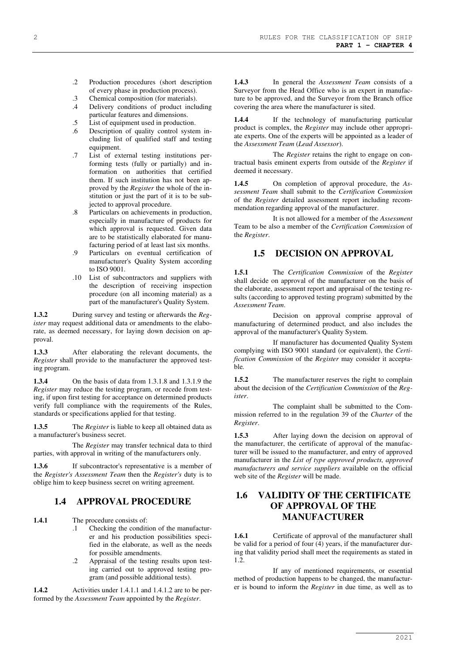- .2 Production procedures (short description of every phase in production process).
- .3 Chemical composition (for materials).<br>4 Delivery conditions of product inclu
- Delivery conditions of product including particular features and dimensions.
- .5 List of equipment used in production.
- .6 Description of quality control system including list of qualified staff and testing equipment.
- .7 List of external testing institutions performing tests (fully or partially) and information on authorities that certified them. If such institution has not been approved by the *Register* the whole of the institution or just the part of it is to be subjected to approval procedure.
- .8 Particulars on achievements in production, especially in manufacture of products for which approval is requested. Given data are to be statistically elaborated for manufacturing period of at least last six months.
- .9 Particulars on eventual certification of manufacturer's Quality System according to ISO 9001.
- .10 List of subcontractors and suppliers with the description of receiving inspection procedure (on all incoming material) as a part of the manufacturer's Quality System.

**1.3.2** During survey and testing or afterwards the *Register* may request additional data or amendments to the elaborate, as deemed necessary, for laying down decision on approval.

**1.3.3** After elaborating the relevant documents, the *Register* shall provide to the manufacturer the approved testing program.

**1.3.4** On the basis of data from 1.3.1.8 and 1.3.1.9 the *Register* may reduce the testing program, or recede from testing, if upon first testing for acceptance on determined products verify full compliance with the requirements of the Rules, standards or specifications applied for that testing.

**1.3.5** The *Register* is liable to keep all obtained data as a manufacturer's business secret.

The *Register* may transfer technical data to third parties, with approval in writing of the manufacturers only.

1.3.6 If subcontractor's representative is a member of the *Register's Assessment Team* then the *Register's* duty is to oblige him to keep business secret on writing agreement.

### **1.4 APPROVAL PROCEDURE**

**1.4.1** The procedure consists of:

- .1 Checking the condition of the manufacturer and his production possibilities specified in the elaborate, as well as the needs for possible amendments.
- .2 Appraisal of the testing results upon testing carried out to approved testing program (and possible additional tests).

**1.4.2** Activities under 1.4.1.1 and 1.4.1.2 are to be performed by the *Assessment Team* appointed by the *Register*.

**1.4.3** In general the *Assessment Team* consists of a Surveyor from the Head Office who is an expert in manufacture to be approved, and the Surveyor from the Branch office covering the area where the manufacturer is sited.

**1.4.4** If the technology of manufacturing particular product is complex, the *Register* may include other appropriate experts. One of the experts will be appointed as a leader of the *Assessment Team* (*Lead Assessor*).

The *Register* retains the right to engage on contractual basis eminent experts from outside of the *Register* if deemed it necessary.

**1.4.5** On completion of approval procedure, the *Assessment Team* shall submit to the *Certification Commission* of the *Register* detailed assessment report including recommendation regarding approval of the manufacturer.

It is not allowed for a member of the *Assessment*  Team to be also a member of the *Certification Commission* of the *Register*.

### **1.5 DECISION ON APPROVAL**

**1.5.1** The *Certification Commission* of the *Register* shall decide on approval of the manufacturer on the basis of the elaborate, assessment report and appraisal of the testing results (according to approved testing program) submitted by the *Assessment Team*.

Decision on approval comprise approval of manufacturing of determined product, and also includes the approval of the manufacturer's Quality System.

If manufacturer has documented Quality System complying with ISO 9001 standard (or equivalent), the *Certification Commission* of the *Register* may consider it acceptable*.* 

**1.5.2** The manufacturer reserves the right to complain about the decision of the *Certification Commission* of the *Register*.

The complaint shall be submitted to the Commission referred to in the regulation 39 of the *Charter* of the *Register*.

**1.5.3** After laying down the decision on approval of the manufacturer, the certificate of approval of the manufacturer will be issued to the manufacturer, and entry of approved manufacturer in the *List of type approved products, approved manufacturers and service suppliers* available on the official web site of the *Register* will be made.

## **1.6 VALIDITY OF THE CERTIFICATE OF APPROVAL OF THE MANUFACTURER**

**1.6.1** Certificate of approval of the manufacturer shall be valid for a period of four (4) years, if the manufacturer during that validity period shall meet the requirements as stated in 1.2.

If any of mentioned requirements, or essential method of production happens to be changed, the manufacturer is bound to inform the *Register* in due time, as well as to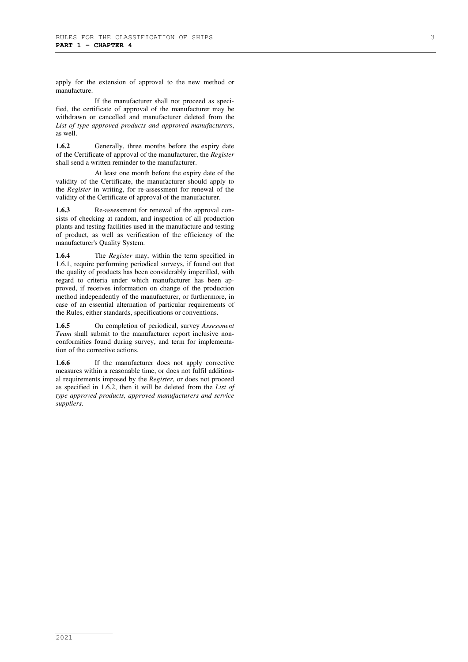apply for the extension of approval to the new method or manufacture.

If the manufacturer shall not proceed as specified, the certificate of approval of the manufacturer may be withdrawn or cancelled and manufacturer deleted from the *List of type approved products and approved manufacturers*, as well.

**1.6.2** Generally, three months before the expiry date of the Certificate of approval of the manufacturer, the *Register*  shall send a written reminder to the manufacturer.

At least one month before the expiry date of the validity of the Certificate, the manufacturer should apply to the *Register* in writing, for re-assessment for renewal of the validity of the Certificate of approval of the manufacturer.

**1.6.3** Re-assessment for renewal of the approval consists of checking at random, and inspection of all production plants and testing facilities used in the manufacture and testing of product, as well as verification of the efficiency of the manufacturer's Quality System.

**1.6.4** The *Register* may, within the term specified in 1.6.1, require performing periodical surveys, if found out that the quality of products has been considerably imperilled, with regard to criteria under which manufacturer has been approved, if receives information on change of the production method independently of the manufacturer, or furthermore, in case of an essential alternation of particular requirements of the Rules, either standards, specifications or conventions.

**1.6.5** On completion of periodical, survey *Assessment Team* shall submit to the manufacturer report inclusive nonconformities found during survey, and term for implementation of the corrective actions.

1.6.6 If the manufacturer does not apply corrective measures within a reasonable time, or does not fulfil additional requirements imposed by the *Register*, or does not proceed as specified in 1.6.2, then it will be deleted from the *List of type approved products, approved manufacturers and service suppliers*.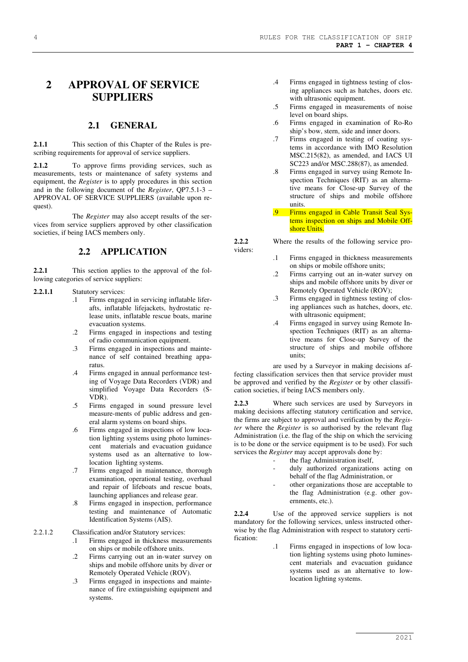# **2 APPROVAL OF SERVICE SUPPLIERS**

#### **2.1 GENERAL**

**2.1.1** This section of this Chapter of the Rules is prescribing requirements for approval of service suppliers.

2.1.2 To approve firms providing services, such as measurements, tests or maintenance of safety systems and equipment, the *Register* is to apply procedures in this section and in the following document of the *Register*, QP7.5.1-3 – APPROVAL OF SERVICE SUPPLIERS (available upon request).

The *Register* may also accept results of the services from service suppliers approved by other classification societies, if being IACS members only.

#### **2.2 APPLICATION**

**2.2.1** This section applies to the approval of the following categories of service suppliers:

#### **2.2.1.1** Statutory services:

- .1 Firms engaged in servicing inflatable liferafts, inflatable lifejackets, hydrostatic release units, inflatable rescue boats, marine evacuation systems.
- .2 Firms engaged in inspections and testing of radio communication equipment.
- .3 Firms engaged in inspections and maintenance of self contained breathing apparatus.
- .4 Firms engaged in annual performance testing of Voyage Data Recorders (VDR) and simplified Voyage Data Recorders (S-VDR).
- .5 Firms engaged in sound pressure level measure-ments of public address and general alarm systems on board ships.
- .6 Firms engaged in inspections of low location lighting systems using photo luminescent materials and evacuation guidance systems used as an alternative to lowlocation lighting systems.
- .7 Firms engaged in maintenance, thorough examination, operational testing, overhaul and repair of lifeboats and rescue boats, launching appliances and release gear.
- .8 Firms engaged in inspection, performance testing and maintenance of Automatic Identification Systems (AIS).

#### 2.2.1.2 Classification and/or Statutory services:

- .1 Firms engaged in thickness measurements on ships or mobile offshore units.
- .2 Firms carrying out an in-water survey on ships and mobile offshore units by diver or Remotely Operated Vehicle (ROV).
- .3 Firms engaged in inspections and maintenance of fire extinguishing equipment and systems.
- .4 Firms engaged in tightness testing of closing appliances such as hatches, doors etc. with ultrasonic equipment.
- .5 Firms engaged in measurements of noise level on board ships.
- .6 Firms engaged in examination of Ro-Ro ship's bow, stern, side and inner doors.
- .7 Firms engaged in testing of coating systems in accordance with IMO Resolution MSC.215(82), as amended, and IACS UI SC223 and/or MSC.288(87), as amended.
- .8 Firms engaged in survey using Remote Inspection Techniques (RIT) as an alternative means for Close-up Survey of the structure of ships and mobile offshore units.
- .9 Firms engaged in Cable Transit Seal Systems inspection on ships and Mobile Offshore Units.

**2.2.2** Where the results of the following service pro-

viders:

- .1 Firms engaged in thickness measurements on ships or mobile offshore units;
- .2 Firms carrying out an in-water survey on ships and mobile offshore units by diver or Remotely Operated Vehicle (ROV);
- .3 Firms engaged in tightness testing of closing appliances such as hatches, doors, etc. with ultrasonic equipment;
- .4 Firms engaged in survey using Remote Inspection Techniques (RIT) as an alternative means for Close-up Survey of the structure of ships and mobile offshore units;

are used by a Surveyor in making decisions affecting classification services then that service provider must be approved and verified by the *Register* or by other classification societies, if being IACS members only.

**2.2.3** Where such services are used by Surveyors in making decisions affecting statutory certification and service, the firms are subject to approval and verification by the *Register* where the *Register* is so authorised by the relevant flag Administration (i.e. the flag of the ship on which the servicing is to be done or the service equipment is to be used). For such services the *Register* may accept approvals done by:

- the flag Administration itself,
- duly authorized organizations acting on behalf of the flag Administration, or
- other organizations those are acceptable to the flag Administration (e.g. other governments, etc.).

**2.2.4** Use of the approved service suppliers is not mandatory for the following services, unless instructed otherwise by the flag Administration with respect to statutory certification:

> Firms engaged in inspections of low location lighting systems using photo luminescent materials and evacuation guidance systems used as an alternative to lowlocation lighting systems.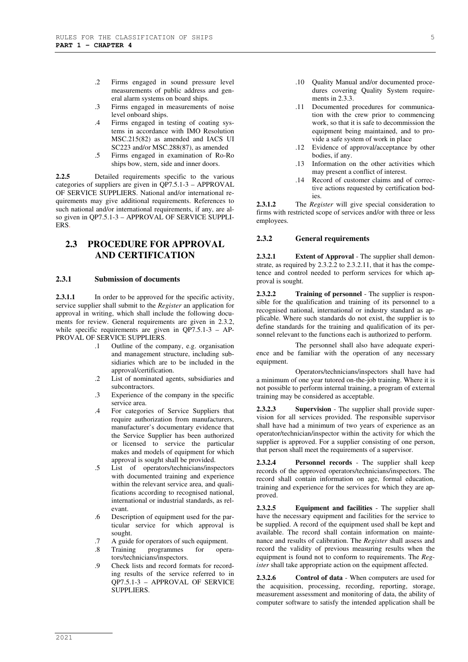- .2 Firms engaged in sound pressure level measurements of public address and general alarm systems on board ships.
- .3 Firms engaged in measurements of noise level onboard ships.
- .4 Firms engaged in testing of coating systems in accordance with IMO Resolution MSC.215(82) as amended and IACS UI SC223 and/or MSC.288(87), as amended
- .5 Firms engaged in examination of Ro-Ro ships bow, stern, side and inner doors.

**2.2.5** Detailed requirements specific to the various categories of suppliers are given in  $QP7.5.1-3 - APPROVAL$ OF SERVICE SUPPLIERS. National and/or international requirements may give additional requirements. References to such national and/or international requirements, if any, are also given in QP7.5.1-3 – APPROVAL OF SERVICE SUPPLI-ERS.

### **2.3 PROCEDURE FOR APPROVAL AND CERTIFICATION**

#### **2.3.1 Submission of documents**

**2.3.1.1** In order to be approved for the specific activity, service supplier shall submit to the *Register* an application for approval in writing, which shall include the following documents for review. General requirements are given in 2.3.2, while specific requirements are given in QP7.5.1-3 – AP-PROVAL OF SERVICE SUPPLIERS.

- .1 Outline of the company, e.g. organisation and management structure, including subsidiaries which are to be included in the approval/certification.
- .2 List of nominated agents, subsidiaries and subcontractors.
- .3 Experience of the company in the specific service area.
- .4 For categories of Service Suppliers that require authorization from manufacturers, manufacturer's documentary evidence that the Service Supplier has been authorized or licensed to service the particular makes and models of equipment for which approval is sought shall be provided.
- .5 List of operators/technicians/inspectors with documented training and experience within the relevant service area, and qualifications according to recognised national, international or industrial standards, as relevant.
- .6 Description of equipment used for the particular service for which approval is sought.
- .7 A guide for operators of such equipment.
- .8 Training programmes for operators/technicians/inspectors.
- .9 Check lists and record formats for recording results of the service referred to in QP7.5.1-3 – APPROVAL OF SERVICE SUPPLIERS.
- .11 Documented procedures for communication with the crew prior to commencing work, so that it is safe to decommission the equipment being maintained, and to provide a safe system of work in place
- .12 Evidence of approval/acceptance by other bodies, if any.
- .13 Information on the other activities which may present a conflict of interest.
- .14 Record of customer claims and of corrective actions requested by certification bodies.

**2.3.1.2** The *Register* will give special consideration to firms with restricted scope of services and/or with three or less employees.

#### **2.3.2 General requirements**

**2.3.2.1 Extent of Approval** - The supplier shall demonstrate, as required by 2.3.2.2 to 2.3.2.11, that it has the competence and control needed to perform services for which approval is sought.

**2.3.2.2 Training of personnel** - The supplier is responsible for the qualification and training of its personnel to a recognised national, international or industry standard as applicable. Where such standards do not exist, the supplier is to define standards for the training and qualification of its personnel relevant to the functions each is authorized to perform.

The personnel shall also have adequate experience and be familiar with the operation of any necessary equipment.

Operators/technicians/inspectors shall have had a minimum of one year tutored on-the-job training. Where it is not possible to perform internal training, a program of external training may be considered as acceptable.

**2.3.2.3 Supervision** - The supplier shall provide supervision for all services provided. The responsible supervisor shall have had a minimum of two years of experience as an operator/technician/inspector within the activity for which the supplier is approved. For a supplier consisting of one person, that person shall meet the requirements of a supervisor.

**2.3.2.4 Personnel records** - The supplier shall keep records of the approved operators/technicians/inspectors. The record shall contain information on age, formal education, training and experience for the services for which they are approved.

**2.3.2.5 Equipment and facilities** - The supplier shall have the necessary equipment and facilities for the service to be supplied. A record of the equipment used shall be kept and available. The record shall contain information on maintenance and results of calibration. The *Register* shall assess and record the validity of previous measuring results when the equipment is found not to conform to requirements. The *Register* shall take appropriate action on the equipment affected.

**2.3.2.6 Control of data** - When computers are used for the acquisition, processing, recording, reporting, storage, measurement assessment and monitoring of data, the ability of computer software to satisfy the intended application shall be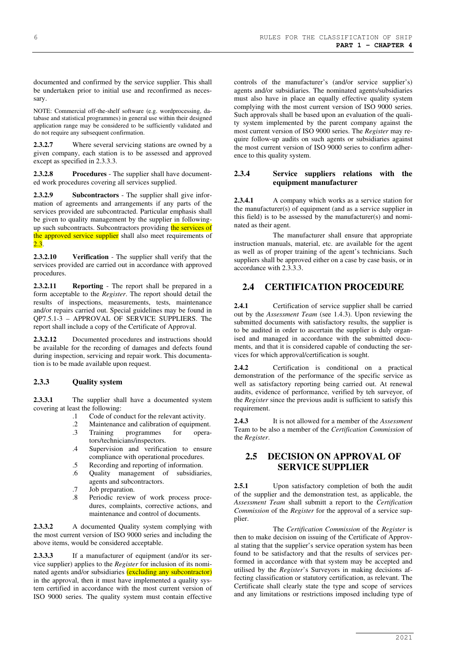documented and confirmed by the service supplier. This shall be undertaken prior to initial use and reconfirmed as necessary.

NOTE: Commercial off-the-shelf software (e.g. wordprocessing, database and statistical programmes) in general use within their designed application range may be considered to be sufficiently validated and do not require any subsequent confirmation.

**2.3.2.7** Where several servicing stations are owned by a given company, each station is to be assessed and approved except as specified in 2.3.3.3.

**2.3.2.8 Procedures** - The supplier shall have documented work procedures covering all services supplied.

**2.3.2.9 Subcontractors** - The supplier shall give information of agreements and arrangements if any parts of the services provided are subcontracted. Particular emphasis shall be given to quality management by the supplier in followingup such subcontracts. Subcontractors providing the services of the approved service supplier shall also meet requirements of  $2.3.$ 

**2.3.2.10 Verification** - The supplier shall verify that the services provided are carried out in accordance with approved procedures.

**2.3.2.11 Reporting** - The report shall be prepared in a form acceptable to the *Register*. The report should detail the results of inspections, measurements, tests, maintenance and/or repairs carried out. Special guidelines may be found in QP7.5.1-3 – APPROVAL OF SERVICE SUPPLIERS. The report shall include a copy of the Certificate of Approval.

**2.3.2.12** Documented procedures and instructions should be available for the recording of damages and defects found during inspection, servicing and repair work. This documentation is to be made available upon request.

#### **2.3.3 Quality system**

2.3.3.1 The supplier shall have a documented system covering at least the following:

- .1 Code of conduct for the relevant activity.
- Maintenance and calibration of equipment.
- .3 Training programmes for operators/technicians/inspectors.
- .4 Supervision and verification to ensure compliance with operational procedures.
- .5 Recording and reporting of information.
- .6 Quality management of subsidiaries, agents and subcontractors.
- .7 Job preparation.
- .8 Periodic review of work process procedures, complaints, corrective actions, and maintenance and control of documents.

**2.3.3.2** A documented Quality system complying with the most current version of ISO 9000 series and including the above items, would be considered acceptable.

**2.3.3.3** If a manufacturer of equipment (and/or its service supplier) applies to the *Register* for inclusion of its nominated agents and/or subsidiaries (excluding any subcontractor) in the approval, then it must have implemented a quality system certified in accordance with the most current version of ISO 9000 series. The quality system must contain effective controls of the manufacturer's (and/or service supplier's) agents and/or subsidiaries. The nominated agents/subsidiaries must also have in place an equally effective quality system complying with the most current version of ISO 9000 series. Such approvals shall be based upon an evaluation of the quality system implemented by the parent company against the most current version of ISO 9000 series. The *Register* may require follow-up audits on such agents or subsidiaries against the most current version of ISO 9000 series to confirm adherence to this quality system.

#### **2.3.4 Service suppliers relations with the equipment manufacturer**

**2.3.4.1** A company which works as a service station for the manufacturer(s) of equipment (and as a service supplier in this field) is to be assessed by the manufacturer(s) and nominated as their agent.

The manufacturer shall ensure that appropriate instruction manuals, material, etc. are available for the agent as well as of proper training of the agent's technicians. Such suppliers shall be approved either on a case by case basis, or in accordance with 2.3.3.3.

#### **2.4 CERTIFICATION PROCEDURE**

**2.4.1** Certification of service supplier shall be carried out by the *Assessment Team* (see 1.4.3). Upon reviewing the submitted documents with satisfactory results, the supplier is to be audited in order to ascertain the supplier is duly organised and managed in accordance with the submitted documents, and that it is considered capable of conducting the services for which approval/certification is sought.

**2.4.2** Certification is conditional on a practical demonstration of the performance of the specific service as well as satisfactory reporting being carried out. At renewal audits, evidence of performance, verified by teh surveyor, of the *Register* since the previous audit is sufficient to satisfy this requirement.

**2.4.3** It is not allowed for a member of the *Assessment*  Team to be also a member of the *Certification Commission* of the *Register*.

## **2.5 DECISION ON APPROVAL OF SERVICE SUPPLIER**

**2.5.1** Upon satisfactory completion of both the audit of the supplier and the demonstration test, as applicable, the *Assessment Team* shall submitt a report to the *Certification Commission* of the *Register* for the approval of a service supplier.

The *Certification Commission* of the *Register* is then to make decision on issuing of the Certificate of Approval stating that the supplier's service operation system has been found to be satisfactory and that the results of services performed in accordance with that system may be accepted and utilised by the *Register*'s Surveyors in making decisions affecting classification or statutory certification, as relevant. The Certificate shall clearly state the type and scope of services and any limitations or restrictions imposed including type of